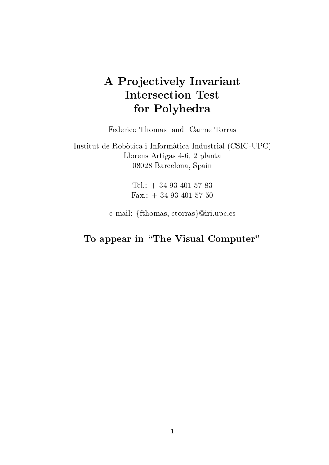# A Projectively Invariant Intersection Test for Polyhedra

Federico Thomas and Carme Torras

Institut de Robotica i Informatica Industrial (CSIC-UPC) Llorens Artigas 4-6, 2 planta 08028 Barcelona, Spain

> Tel.: + 34 93 401 57 83 Fax.: + 34 93 401 57 50

e-mail: {fthomas, ctorras}@iri.upc.es

# To appear in the Visual Computer of the Visual Computer of the Visual Computer of the Visual Computer of the Visual Computer of the Visual Computer of the Visual Computer of the Visual Computer of the Visual Computer of th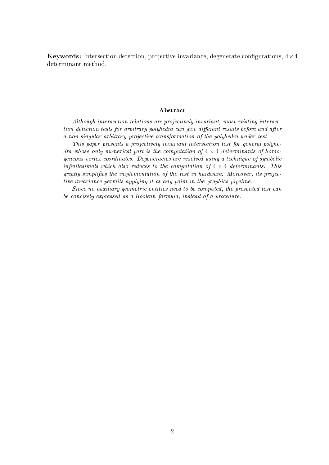Keywords: Intersection detection, projective invariance, degenerate congurations, 4-4 determinant method.

# Abstract

Although intersection relations are projectively invariant, most existing intersection detection tests for arbitrary polyhedra can give different results before and after a non-singular arbitrary projective transformation of the polyhedra under test.

This paper presents a projectively invariant intersection test for general polyhedra whose only numerical part is the computation of <sup>4</sup> - <sup>4</sup> determinants of homogeneous vertex coordinates. Degeneracies are resolved using a technique of symbolic innitesimals which also reduces to the computation of <sup>4</sup> - <sup>4</sup> determinants. This greatly simplifies the implementation of the test in hardware. Moreover, its projective invariance permits applying it at any point in the graphics pipeline.

Since no auxiliary geometric entities need to be computed, the presented test can be concisely expressed as a Boolean formula, instead of a procedure.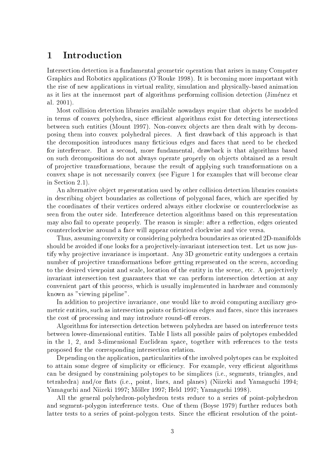# 1Introduction

Intersection detection is a fundamental geometric operation that arises in many Computer Graphics and Robotics applications (O'Rouke 1998). It is becoming more important with the rise of new applications in virtual reality, simulation and physically-based animation as it lies at the innermost part of algorithms performing collision detection (Jimenez et al. 2001).

Most collision detection libraries available nowadays require that objects be modeled in terms of convex polyhedra, since efficient algorithms exist for detecting intersections between such entities (Mount 1997). Non-convex objects are then dealt with by decomposing them into convex polyhedral pieces. A first drawback of this approach is that the decomposition introduces many ficticious edges and faces that need to be checked for interference. But a second, more fundamental, drawback is that algorithms based on such decompositions do not always operate properly on ob jects obtained as a result of projective transformations, because the result of applying such transformations on a convex shape is not necessarily convex (see Figure 1 for examples that will become clear in Section 2.1).

An alternative object representation used by other collision detection libraries consists in describing object boundaries as collections of polygonal faces, which are specified by the coordinates of their vertices ordered always either clockwise or counterclockwise as seen from the outer side. Interference detection algorithms based on this representation may also fail to operate properly. The reason is simple: after a reflection, edges oriented counterclockwise around a face will appear oriented clockwise and vice versa.

Thus, assuming convexity or considering polyhedra boundaries as oriented 2D-manifolds should be avoided if one looks for a projectively-invariant intersection test. Let us now justify why projective invariance is important. Any 3D geometric entity undergoes a certain number of projective transformations before getting represented on the screen, according to the desired viewpoint and scale, location of the entity in the scene, etc. A projectively invariant intersection test guarantees that we can perform intersection detection at any convenient part of this process, which is usually implemented in hardware and commonly known as "viewing pipeline".

In addition to projective invariance, one would like to avoid computing auxiliary geometric entities, such as intersection points or ficticious edges and faces, since this increases the cost of processing and may introduce round-off errors.

Algorithms for intersection detection between polyhedra are based on interference tests between lower-dimensional entities. Table I lists all possible pairs of polytopes embedded in the 1, 2, and 3-dimensional Euclidean space, together with references to the tests proposed for the corresponding intersection relation.

Depending on the application, particularities of the involved polytopes can be exploited to attain some degree of simplicity or efficiency. For example, very efficient algorithms can be designed by constraining polytopes to be simplices (i.e., segments, triangles, and tetrahedra) and/or flats (i.e., point, lines, and planes) (Niizeki and Yamaguchi 1994; Yamaguchi and Niizeki 1997; Möller 1997; Held 1997; Yamaguchi 1998).

All the general polyhedron-polyhedron tests reduce to a series of point-polyhedron and segment-polygon interference tests. One of them (Boyse 1979) further reduces both latter tests to a series of point-polygon tests. Since the efficient resolution of the point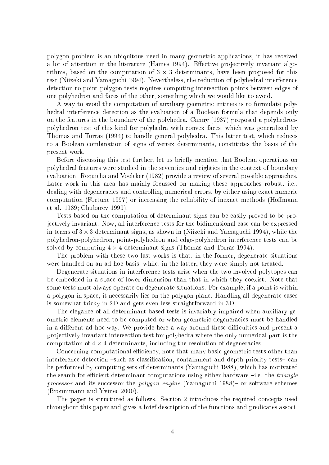polygon problem is an ubiquitous need in many geometric applications, it has received a lot of attention in the literature (Haines 1994). Effective projectively invariant algorithms, based on the computation of 3 - 3 determinants, have been proposed for this test (Niizeki and Yamaguchi 1994). Nevertheless, the reduction of polyhedral interference detection to point-polygon tests requires computing intersection points between edges of one polyhedron and faces of the other, something which we would like to avoid.

A way to avoid the computation of auxiliary geometric entities is to formulate polyhedral interference detection as the evaluation of a Boolean formula that depends only on the features in the boundary of the polyhedra. Canny (1987) proposed a polyhedronpolyhedron test of this kind for polyhedra with convex faces, which was generalized by Thomas and Torras (1994) to handle general polyhedra. This latter test, which reduces to a Boolean combination of signs of vertex determinants, constitutes the basis of the present work.

Before discussing this test further, let us briefly mention that Boolean operations on polyhedral features were studied in the seventies and eighties in the context of boundary evaluation. Requicha and Voelcker (1982) provide a review of several possible approaches. Later work in this area has mainly focussed on making these approaches robust, i.e., dealing with degeneracies and controlling numerical errors, by either using exact numeric computation (Fortune 1997) or increasing the reliability of inexact methods (Homann et al. 1989; Chubarev 1999).

Tests based on the computation of determinant signs can be easily proved to be projectively invariant. Now, all interference tests for the bidimensional case can be expressed in terms of 3 - 3 determinant signs, as shown in (Niizeki and Yamaguchi 1994), while the polyhedron-polyhedron, point-polyhedron and edge-polyhedron interference tests can be solved by computing 4 - 4 determinant signs (Thomas and Torras 1994).

The problem with these two last works is that, in the former, degenerate situations were handled on an ad hoc basis, while, in the latter, they were simply not treated.

Degenerate situations in interference tests arise when the two involved polytopes can be embedded in a space of lower dimension than that in which they coexist. Note that some tests must always operate on degenerate situations. For example, if a point is within a polygon in space, it necessarily lies on the polygon plane. Handling all degenerate cases is somewhat tricky in 2D and gets even less straightforward in 3D.

The elegance of all determinant-based tests is invariably impaired when auxiliary geometric elements need to be computed or when geometric degeneracies must be handled in a different ad hoc way. We provide here a way around these difficulties and present a projectively invariant intersection test for polyhedra where the only numerical part is the computation of 4 - 4 determinants, including the resolution of degeneracies.

Concerning computational efficiency, note that many basic geometric tests other than interference detection  $-such$  as classification, containment and depth priority tests  $-$  can be performed by computing sets of determinants (Yamaguchi 1988), which has motivated the search for efficient determinant computations using either hardware  $-i.e.$  the *triangle* processor and its successor the polygon engine (Yamaguchi 1988){ or software schemes (Bronnimann and Yvinec 2000).

The paper is structured as follows. Section 2 introduces the required concepts used throughout this paper and gives a brief description of the functions and predicates associ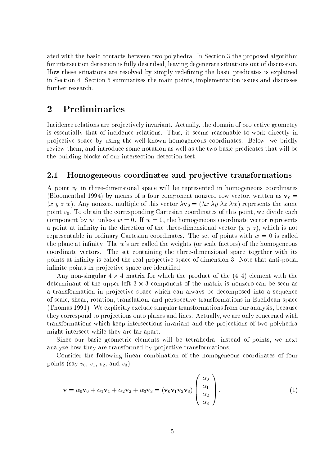ated with the basic contacts between two polyhedra. In Section 3 the proposed algorithm for intersection detection is fully described, leaving degenerate situations out of discussion. How these situations are resolved by simply redening the basic predicates is explained in Section 4. Section 5 summarizes the main points, implementation issues and discusses

## Preliminaries  $\overline{2}$

Incidence relations are projectively invariant. Actually, the domain of projective geometry is essentially that of incidence relations. Thus, it seems reasonable to work directly in projective space by using the well-known homogeneous coordinates. Below, we briefly review them, and introduce some notation as well as the two basic predicates that will be the building blocks of our intersection detection test.

#### 2.1Homogeneous coordinates and pro jective transformations

A point  $v_0$  in three-dimensional space will be represented in homogeneous coordinates (Bloomenthal 1994) by means of a four component nonzero row vector, written as  $v_0 =$  $(x, y, z, w)$ . Any nonzero multiple of this vector  $\lambda v_0 = (\lambda x \lambda y \lambda z \lambda w)$  represents the same point  $v_0$ . To obtain the corresponding Cartesian coordinates of this point, we divide each component by w, unless  $w = 0$ . If  $w = 0$ , the homogeneous coordinate vector represents a point at infinity in the direction of the three-dimensional vector  $(x, y, z)$ , which is not representable in ordinary Cartesian coordinates. The set of points with  $w = 0$  is called the plane at infinity. The  $w$ 's are called the weights (or scale factors) of the homogeneous coordinate vectors. The set containing the three-dimensional space together with its points at infinity is called the real projective space of dimension 3. Note that anti-podal infinite points in projective space are identified.

 $\mathcal{L}_{\mathbf{m}}$  non-singular 4  $\times$  1 matrix for which the product of the (1; 1) element with the determinant of the upper left 3 - 3 component of the matrix is nonzero can be seen as a transformation in projective space which can always be decomposed into a sequence of scale, shear, rotation, translation, and perspective transformations in Euclidean space (Thomas 1991). We explicitly exclude singular transformations from our analysis, because they correspond to projections onto planes and lines. Actually, we are only concerned with transformations which keep intersections invariant and the projections of two polyhedra might intersect while they are far apart.

Since our basic geometric elements will be tetrahedra, instead of points, we next analyze how they are transformed by projective transformations.

Consider the following linear combination of the homogeneous coordinates of four points (say  $v_0$ ,  $v_1$ ,  $v_2$ , and  $v_3$ ):

$$
\mathbf{v} = \alpha_0 \mathbf{v}_0 + \alpha_1 \mathbf{v}_1 + \alpha_2 \mathbf{v}_2 + \alpha_3 \mathbf{v}_3 = (\mathbf{v}_0 \mathbf{v}_1 \mathbf{v}_2 \mathbf{v}_3) \begin{pmatrix} \alpha_0 \\ \alpha_1 \\ \alpha_2 \\ \alpha_3 \end{pmatrix} .
$$
 (1)

 $\overline{\phantom{0}}$ 

 $\sim$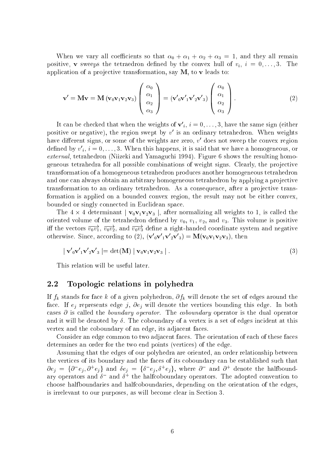When we vary all coefficients so that  $\alpha_0 + \alpha_1 + \alpha_2 + \alpha_3 = 1$ , and they all remain positive, **v** sweeps the tetraedron defined by the convex hull of  $v_i$ ,  $i = 0, \ldots, 3$ . The application of a projective transformation, say  $M$ , to v leads to:

$$
\mathbf{v}' = \mathbf{M}\mathbf{v} = \mathbf{M} \left( \mathbf{v}_0 \mathbf{v}_1 \mathbf{v}_2 \mathbf{v}_3 \right) \begin{pmatrix} \alpha_0 \\ \alpha_1 \\ \alpha_2 \\ \alpha_3 \end{pmatrix} = \left( \mathbf{v}'_0 \mathbf{v}'_1 \mathbf{v}'_2 \mathbf{v}'_3 \right) \begin{pmatrix} \alpha_0 \\ \alpha_1 \\ \alpha_2 \\ \alpha_3 \end{pmatrix} . \tag{2}
$$

It can be checked that when the weights of  ${\bf v'}_i, \, i=0,\ldots,3,$  have the same sign (either positive or negative), the region swept by  $v$  is an ordinary tetrahedron. When weights have different signs, or some of the weights are zero,  $v$  does not sweep the convex region defined by  $v'_{i}, i = 0, \ldots, 3$ . When this happens, it is said that we have a homogeneous, or external, tetrahedron (Niizeki and Yamaguchi 1994). Figure 6 shows the resulting homogeneous tetrahedra for all possible combinations of weight signs. Clearly, the projective transformation of a homogeneous tetrahedron produces another homogeneous tetrahedron and one can always obtain an arbitrary homogeneous tetrahedron by applying a projective transformation to an ordinary tetrahedron. As a consequence, after a projective transformation is applied on a bounded convex region, the result may not be either convex, bounded or singly connected in Euclidean space.

The 4 determinant j v0v1v2v3 j) weights to 1, is called the 1, is called the 1, is called the 1 oriented volume of the tetrahedron defined by  $v_0, v_1, v_2$ , and  $v_3$ . This volume is positive iff the vectors  $v_0v_1,\ v_0v_2,$  and  $v_0v_3$  define a right-handed coordinate system and negative otherwise. Since, according to (2),  $(\mathbf{V}_0\mathbf{V}_1\mathbf{V}_2\mathbf{V}_3) = \mathbf{M}(\mathbf{V}_0\mathbf{V}_1\mathbf{V}_2\mathbf{V}_3)$ , then

$$
|\mathbf{v}'_0\mathbf{v}'_1\mathbf{v}'_2\mathbf{v}'_3| = \det(\mathbf{M}) |\mathbf{v}_0\mathbf{v}_1\mathbf{v}_2\mathbf{v}_3|.
$$
 (3)

This relation will be useful later.

#### 2.2Topologic relations in polyhedra

If  $f_k$  stands for face k of a given polyhedron,  $\partial f_k$  will denote the set of edges around the face. If  $e_i$  represents edge j,  $\partial e_i$  will denote the vertices bounding this edge. In both cases  $\partial$  is called the *boundary operator*. The *coboundary* operator is the dual operator and it will be denoted by  $\delta$ . The coboundary of a vertex is a set of edges incident at this vertex and the coboundary of an edge, its adjacent faces.

Consider an edge common to two adjacent faces. The orientation of each of these faces determines an order for the two end points (vertices) of the edge.

Assuming that the edges of our polyhedra are oriented, an order relationship between the vertices of its boundary and the faces of its coboundary can be established such that  $\partial e_i = \{\partial^- e_i, \partial^+ e_i\}$  and  $\delta e_i = \{\delta^- e_i, \delta^+ e_i\}$ , where  $\partial^-$  and  $\partial^+$  denote the halfboundary operators and  $\delta^-$  and  $\delta^+$  the halfcoboundary operators. The adopted convention to choose halfboundaries and halfcoboundaries, depending on the orientation of the edges, is irrelevant to our purposes, as will become clear in Section 3.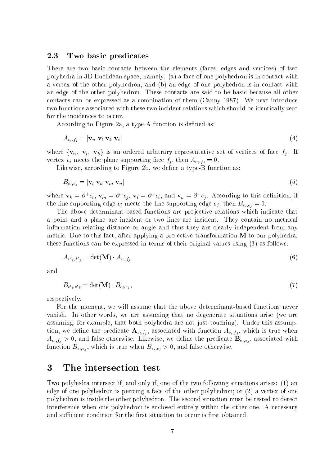#### 2.3Two basic predicates

There are two basic contacts between the elements (faces, edges and vertices) of two polyhedra in 3D Euclidean space; namely: (a) a face of one polyhedron is in contact with a vertex of the other polyhedron; and (b) an edge of one polyhedron is in contact with an edge of the other polyhedron. These contacts are said to be basic because all other contacts can be expressed as a combination of them (Canny 1987). We next introduce two functions associated with these two incident relations which should be identically zero for the incidences to occur.

According to Figure 2a, a type-A function is defined as:

$$
A_{v_i, f_j} = |\mathbf{v}_n \ \mathbf{v}_l \ \mathbf{v}_k \ \mathbf{v}_i| \tag{4}
$$

where  $\{v_n, v_l, v_k\}$  is an ordered arbitrary representative set of vertices of face  $f_i$ . If vertex  $v_i$  meets the plane supporting face  $f_i$ , then  $A_{v_i,f_i} = 0$ .

Likewise, according to Figure 2b, we define a type-B function as:

$$
B_{e_i,e_j} = |\mathbf{v}_l \ \mathbf{v}_k \ \mathbf{v}_m \ \mathbf{v}_n| \tag{5}
$$

where  $\mathbf{v}_k = \partial^+ e_i$ ,  $\mathbf{v}_m = \partial^- e_i$ ,  $\mathbf{v}_l = \partial^- e_i$ , and  $\mathbf{v}_n = \partial^+ e_i$ . According to this definition, if the line supporting edge  $e_i$  meets the line supporting edge  $e_i$ , then  $B_{e_i,e_i} = 0$ .

The above determinant-based functions are projective relations which indicate that a point and a plane are incident or two lines are incident. They contain no metrical information relating distance or angle and thus they are clearly independent from any metric. Due to this fact, after applying a projective transformation M to our polyhedra, these functions can be expressed in terms of their original values using (3) as follows:

$$
A_{v',f',j} = \det(\mathbf{M}) \cdot A_{v_i,f_j} \tag{6}
$$

and

$$
B_{e',e',} = \det(\mathbf{M}) \cdot B_{e_i,e_j},\tag{7}
$$

respectively.

For the moment, we will assume that the above determinant-based functions never vanish. In other words, we are assuming that no degenerate situations arise (we are assuming, for example, that both polyhedra are not just touching). Under this assumption, we define the predicate  $\mathbf{A}_{v_i,f_i}$ , associated with function  $A_{v_i,f_i}$ , which is true when  $A_{v_i,f_j} > 0$ , and false otherwise. Likewise, we define the predicate  $\mathbf{B}_{e_i,e_j},$  associated with function  $B_{e_i,e_j}$ , which is true when  $B_{e_i,e_j} > 0$ , and false otherwise.

#### 3 The intersection test

Two polyhedra intersect if, and only if, one of the two following situations arises: (1) an edge of one polyhedron is piercing a face of the other polyhedron; or (2) a vertex of one polyhedron is inside the other polyhedron. The second situation must be tested to detect interference when one polyhedron is enclosed entirely within the other one. A necessary and sufficient condition for the first situation to occur is first obtained.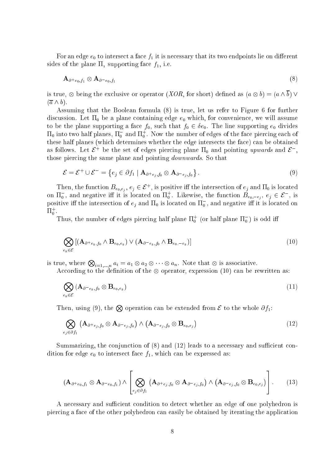For an edge  $e_0$  to intersect a face  $f_1$  it is necessary that its two endpoints lie on different sides of the plane  $\Pi_1$  supporting face  $f_1$ , i.e.

$$
\mathbf{A}_{\partial^+ e_0,f_1} \otimes \mathbf{A}_{\partial^- e_0,f_1} \tag{8}
$$

is true,  $\otimes$  being the exclusive or operator (XOR, for short) defined as  $(a \otimes b) = (a \wedge b) \vee$  $(\overline{a} \wedge b).$ 

Assuming that the Boolean formula (8) is true, let us refer to Figure 6 for further discussion. Let  $\Pi_0$  be a plane containing edge  $e_0$  which, for convenience, we will assume to be the plane supporting a face  $f_0$ , such that  $f_0 \in \delta e_0$ . The line supporting  $e_0$  divides  $\mathfrak{u}_0$  into two half planes,  $\mathfrak{u}_0$  and  $\mathfrak{u}_0$  . Now the number of edges of the face piercing each of these half planes (which determines whether the edge intersects the face) can be obtained as follows. Let  $\epsilon$  be the set of edges piercing plane  $\mathfrak{u}_0$  and pointing upwards and  $\epsilon$  , those piercing the same plane and pointing *downwards*. So that

$$
\mathcal{E} = \mathcal{E}^+ \cup \mathcal{E}^- = \left\{ e_j \in \partial f_1 \mid \mathbf{A}_{\partial^+ e_j, f_0} \otimes \mathbf{A}_{\partial^- e_j, f_0} \right\}.
$$
\n(9)

Then, the function  $B_{e_0,e_j}, e_j \in \mathcal{E}^+$ , is positive iff the intersection of  $e_j$  and  $\Pi_0$  is located on  $\Pi_0^-$ , and negative iff it is located on  $\Pi_0^+$ . Likewise, the function  $B_{e_0,-e_i},\,e_j\in\mathcal{E}^-$ , is positive iff the intersection of  $e_j$  and  $\Pi_0$  is located on  $\Pi_0$  , and negative iff it is located on  $11_0$ .

Thus, the number of edges piercing half plane  $\Pi_0^+$  (or half plane  $\Pi_0^-$ ) is odd iff

$$
\bigotimes_{e_k \in \mathcal{E}} \left[ (\mathbf{A}_{\partial^+ e_k, f_0} \wedge \mathbf{B}_{e_0, e_k}) \vee (\mathbf{A}_{\partial^- e_k, f_0} \wedge \mathbf{B}_{e_0, -e_k}) \right]
$$
(10)

is true, where  $\bigotimes_{i=1,\ldots,n} a_i = a_1 \otimes a_2 \otimes \cdots \otimes a_n$ . Note that  $\otimes$  is associative.

According to the denition of the operator, expression (10) can be rewritten as:

$$
\bigotimes_{e_k \in \mathcal{E}} (\mathbf{A}_{\partial^{-} e_k, f_0} \otimes \mathbf{B}_{e_0, e_k})
$$
\n(11)

Then, using (9), the  $\otimes$  operation can be extended from  $\mathcal E$  to the whole  $\partial f_1$ :

$$
\bigotimes_{e_j \in \partial f_1} (\mathbf{A}_{\partial^+ e_j, f_0} \otimes \mathbf{A}_{\partial^- e_j, f_0}) \wedge (\mathbf{A}_{\partial^- e_j, f_0} \otimes \mathbf{B}_{e_0, e_j})
$$
\n(12)

Summarizing, the conjunction of  $(8)$  and  $(12)$  leads to a necessary and sufficient condition for edge  $e_0$  to intersect face  $f_1$ , which can be expressed as:

$$
\left(\mathbf{A}_{\partial^+e_0,f_1}\otimes \mathbf{A}_{\partial^-e_0,f_1}\right)\wedge\left[\bigotimes_{e_j\in\partial f_1}\left(\mathbf{A}_{\partial^+e_j,f_0}\otimes \mathbf{A}_{\partial^-e_j,f_0}\right)\wedge\left(\mathbf{A}_{\partial^-e_j,f_0}\otimes \mathbf{B}_{e_0,e_j}\right)\right].\tag{13}
$$

A necessary and sufficient condition to detect whether an edge of one polyhedron is piercing a face of the other polyhedron can easily be obtained by iterating the application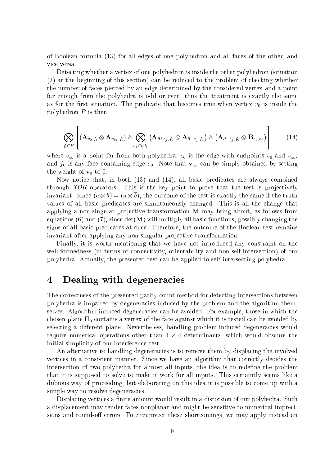of Boolean formula (13) for all edges of one polyhedron and all faces of the other, and vice versa.

Detecting whether a vertex of one polyhedron is inside the other polyhedron (situation (2) at the beginning of this section) can be reduced to the problem of checking whether the number of faces pierced by an edge determined by the considered vertex and a point far enough from the polyhedra is odd or even, thus the treatment is exactly the same as for the first situation. The predicate that becomes true when vertex  $v_0$  is inside the polyhedron  $P$  is then:

$$
\bigotimes_{f_i \in P} \left[ \left( \mathbf{A}_{v_0,f_i} \otimes \mathbf{A}_{v_{\infty},f_i} \right) \wedge \bigotimes_{e_j \in \partial f_i} \left( \mathbf{A}_{\partial^+ e_j,f_0} \otimes \mathbf{A}_{\partial^- e_j,f_0} \right) \wedge \left( \mathbf{A}_{\partial^- e_j,f_0} \otimes \mathbf{B}_{e_0,e_j} \right) \right] \qquad (14)
$$

where  $v_{\infty}$  is a point far from both polyhedra,  $e_0$  is the edge with endpoints  $v_0$  and  $v_{\infty}$ . and  $f_0$  is any face containing edge  $e_0$ . Note that  $\mathbf{v}_{\infty}$  can be simply obtained by setting the weight of  $\mathbf{v}_0$  to 0.

Now notice that, in both (13) and (14), all basic predicates are always combined through  $XOR$  operators. This is the key point to prove that the test is projectively invariant. Since  $(a \otimes b) = (\overline{a} \otimes b)$ , the outcome of the test is exactly the same if the truth values of all basic predicates are simultaneously changed. This is all the change that applying a non-singular projective transformation M may bring about, as follows from equations (6) and (7), since  $\det(\mathbf{M})$  will multiply all basic functions, possibly changing the signs of all basic predicates at once. Therefore, the outcome of the Boolean test remains invariant after applying any non-singular projective transformation.

Finally, it is worth mentioning that we have not introduced any constraint on the well-formedness (in terms of connectivity, orientability and non-self-intersection) of our polyhedra. Actually, the presented test can be applied to self-intersecting polyhedra.

### Dealing with degeneracies  $\overline{\mathcal{A}}$

The correctness of the presented parity-count method for detecting intersections between polyhedra is impaired by degeneracies induced by the problem and the algorithm themselves. Algorithm-induced degeneracies can be avoided. For example, those in which the chosen plane  $\Pi_0$  contains a vertex of the face against which it is tested can be avoided by selecting a different plane. Nevertheless, handling problem-induced degeneracies would require numerical operations other than 4 - 4 determinants, which would obscure the initial simplicity of our interference test.

An alternative to handling degeneracies is to remove them by displacing the involved vertices in a consistent manner. Since we have an algorithm that correctly decides the intersection of two polyhedra for almost all inputs, the idea is to redefine the problem that it is supposed to solve to make it work for all inputs. This certaintly seems like a dubious way of proceeding, but elaborating on this idea it is possible to come up with a simple way to resolve degeneracies.

Displacing vertices a finite amount would result in a distorsion of our polyhedra. Such a displacement may render faces nonplanar and might be sensitive to numerical imprecisions and round-off errors. To circumvect these shortcomings, we may apply instead an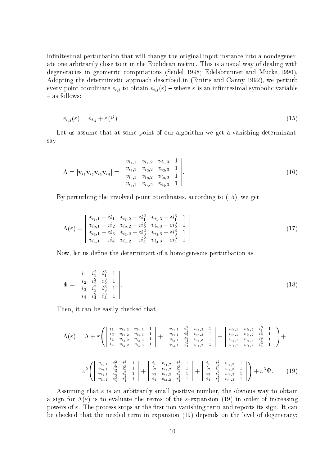infinitesimal perturbation that will change the original input instance into a nondegenerate one arbitrarily close to it in the Euclidean metric. This is a usual way of dealing with degeneracies in geometric computations (Seidel 1998; Edelsbrunner and Mucke 1990). Adopting the deterministic approach described in (Emiris and Canny 1992), we perturb every point coordinate  $v_{i,j}$  to obtain  $v_{i,j}(\varepsilon)$  – where  $\varepsilon$  is an infinitesimal symbolic variable { as follows:

$$
v_{i,j}(\varepsilon) = v_{i,j} + \varepsilon(i^j). \tag{15}
$$

Let us assume that at some point of our algorithm we get a vanishing determinant, say

$$
\Lambda = |\mathbf{v}_{i_1}\mathbf{v}_{i_2}\mathbf{v}_{i_3}\mathbf{v}_{i_4}| = \begin{vmatrix} v_{i_1,1} & v_{i_1,2} & v_{i_1,3} & 1 \\ v_{i_2,1} & v_{i_2,2} & v_{i_2,3} & 1 \\ v_{i_3,1} & v_{i_3,2} & v_{i_3,3} & 1 \\ v_{i_4,1} & v_{i_4,2} & v_{i_4,3} & 1 \end{vmatrix}.
$$
\n(16)

By perturbing the involved point coordinates, according to (15), we get

$$
\Lambda(\varepsilon) = \begin{vmatrix} v_{i_1,1} + \varepsilon i_1 & v_{i_1,2} + \varepsilon i_1^2 & v_{i_1,3} + \varepsilon i_1^3 & 1 \\ v_{i_2,1} + \varepsilon i_2 & v_{i_2,2} + \varepsilon i_2^2 & v_{i_2,3} + \varepsilon i_2^3 & 1 \\ v_{i_3,1} + \varepsilon i_3 & v_{i_3,2} + \varepsilon i_3^2 & v_{i_3,3} + \varepsilon i_3^3 & 1 \\ v_{i_4,1} + \varepsilon i_4 & v_{i_4,2} + \varepsilon i_4^2 & v_{i_4,3} + \varepsilon i_4^3 & 1 \end{vmatrix} . \tag{17}
$$

Now, let us define the determinant of a homogeneous perturbation as

$$
\Psi = \begin{vmatrix} i_1 & i_1^2 & i_1^3 & 1 \\ i_2 & i_2^2 & i_2^3 & 1 \\ i_3 & i_3^2 & i_3^3 & 1 \\ i_4 & i_4^2 & i_4^3 & 1 \end{vmatrix} . \tag{18}
$$

Then, it can be easily checked that

$$
\Lambda(\varepsilon) = \Lambda + \varepsilon \left( \begin{array}{cccc} i_1 & v_{i_1,2} & v_{i_1,3} & 1 \\ i_2 & v_{i_2,2} & v_{i_2,3} & 1 \\ i_3 & v_{i_3,2} & v_{i_3,3} & 1 \\ i_4 & v_{i_4,2} & v_{i_4,3} & 1 \end{array} \right) + \left. \begin{array}{cccc} v_{i_1,1} & i_1^2 & v_{i_1,3} & 1 \\ v_{i_2,1} & i_2^2 & v_{i_2,3} & 1 \\ v_{i_3,1} & i_3^2 & v_{i_3,3} & 1 \\ v_{i_4,1} & i_4^2 & v_{i_4,3} & 1 \end{array} \right| + \left. \begin{array}{cccc} v_{i_1,1} & v_{i_1,2} & i_1^3 & 1 \\ v_{i_2,1} & v_{i_2,2} & i_2^3 & 1 \\ v_{i_3,1} & v_{i_3,2} & i_3^3 & 1 \\ v_{i_4,1} & v_{i_4,3} & 1 \end{array} \right| + \left. \begin{array}{cccc} i_1 & i_1^2 & v_{i_1,3} & 1 \\ v_{i_2,1} & i_2^2 & v_{i_2,2} & i_2^3 \\ v_{i_3,1} & v_{i_3,2} & i_3^3 & 1 \\ v_{i_4,1} & v_{i_4,3} & 1 \end{array} \right| + \left. \begin{array}{cccc} i_1 & i_1^2 & v_{i_1,3} & 1 \\ i_2 & v_{i_2,2} & i_2^3 & 1 \\ i_3 & v_{i_3,2} & i_3^3 & 1 \\ i_4 & v_{i_4,2} & i_4^3 & 1 \end{array} \right| + \left. \begin{array}{cccc} i_1 & i_1^2 & v_{i_1,3} & 1 \\ i_2 & i_2^2 & v_{i_2,3} & 1 \\ i_3 & i_3^2 & v_{i_2,3} & 1 \\ i_4 & i_4^2 & v_{i_3,3} & 1 \end{array} \right| + \varepsilon^3 \Psi. \tag{19}
$$

Assuming that  $\varepsilon$  is an arbitrarily small positive number, the obvious way to obtain a sign for  $\Lambda(\varepsilon)$  is to evaluate the terms of the  $\varepsilon$ -expansion (19) in order of increasing powers of  $\varepsilon$ . The process stops at the first non-vanishing term and reports its sign. It can be checked that the needed term in expansion (19) depends on the level of degeneracy: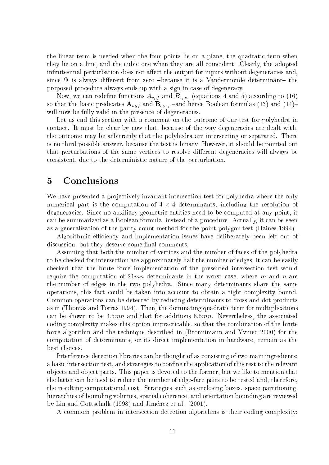the linear term is needed when the four points lie on a plane, the quadratic term when they lie on a line, and the cubic one when they are all coincident. Clearly, the adopted infinitesimal perturbation does not affect the output for inputs without degeneracies and. since  $\Psi$  is always different from zero -because it is a Vandermonde determinant- the proposed procedure always ends up with a sign in case of degeneracy.

Now, we can redefine functions  $A_{v_i,f}$  and  $B_{e_i,e_j}$  (equations 4 and 5) according to (16) so that the basic predicates  $\mathbf{A}_{v_i,f}$  and  $\mathbf{B}_{e_i,e_j}$  -and hence Boolean formulas (13) and (14)will now be fully valid in the presence of degeneracies.

Let us end this section with a comment on the outcome of our test for polyhedra in contact. It must be clear by now that, because of the way degeneracies are dealt with, the outcome may be arbitrarily that the polyhedra are intersecting or separated. There is no third possible answer, because the test is binary. However, it should be pointed out that perturbations of the same vertices to resolve different degeneracies will always be consistent, due to the deterministic nature of the perturbation.

### 5Conclusions

We have presented a projectively invariant intersection test for polyhedra where the only numerical part is the computation of 4 - 4 determinants, including the resolution of degeneracies. Since no auxiliary geometric entities need to be computed at any point, it can be summarized as a Boolean formula, instead of a procedure. Actually, it can be seen as a generalisation of the parity-count method for the point-polygon test (Haines 1994).

Algorithmic efficiency and implementation issues have deliberately been left out of discussion, but they deserve some final comments.

Assuming that both the number of vertices and the number of faces of the polyhedra to be checked for intersection are approximately half the number of edges, it can be easily checked that the brute force implementation of the presented intersection test would require the computation of  $21mn$  determinants in the worst case, where m and n are the number of edges in the two polyhedra. Since many determinants share the same operations, this fact could be taken into account to obtain a tight complexity bound. Common operations can be detected by reducing determinants to cross and dot products as in (Thomas and Torras 1994). Then, the dominating quadratic term for multiplications can be shown to be  $4.5mn$  and that for additions  $8.5mn$ . Nevertheless, the associated coding complexity makes this option impracticable, so that the combination of the brute force algorithm and the technique described in (Bronnimann and Yvinec 2000) for the computation of determinants, or its direct implementation in hardware, remain as the best choices.

Interference detection libraries can be thought of as consisting of two main ingredients: a basic intersection test, and strategies to confine the application of this test to the relevant ob jects and ob ject parts. This paper is devoted to the former, but we like to mention that the latter can be used to reduce the number of edge-face pairs to be tested and, therefore, the resulting computational cost. Strategies such as enclosing boxes, space partitioning, hierarchies of bounding volumes, spatial coherence, and orientation bounding are reviewed by Lin and Gottschalk (1998) and Jimenez et al. (2001).

A commom problem in intersection detection algorithms is their coding complexity: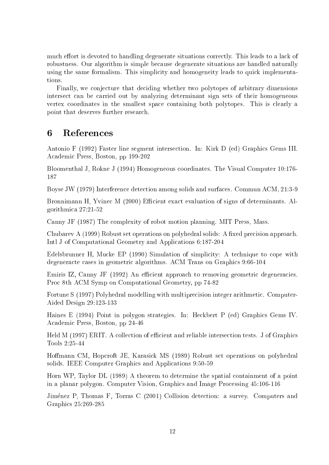much effort is devoted to handling degenerate situations correctly. This leads to a lack of robustness. Our algorithm is simple because degenerate situations are handled naturally using the same formalism. This simplicity and homogeneity leads to quick implementations.

Finally, we conjecture that deciding whether two polytopes of arbitrary dimensions intersect can be carried out by analyzing determinant sign sets of their homogeneous vertex coordinates in the smallest space containing both polytopes. This is clearly a point that deserves further research.

### 6References

Antonio F (1992) Faster line segment intersection. In: Kirk D (ed) Graphics Gems III. Academic Press, Boston, pp 199-202

Bloomenthal J, Rokne J (1994) Homogeneous coordinates. The Visual Computer 10:176- 187

Boyse JW (1979) Interference detection among solids and surfaces. Commun ACM, 21:3-9

Bronnimann H, Yvinec M (2000) Efficient exact evaluation of signs of determinants. Algorithmica 27:21-52

Canny JF (1987) The complexity of robot motion planning. MIT Press, Mass.

Chubarev A (1999) Robust set operations on polyhedral solids: A fixed precision approach. Intl J of Computational Geometry and Applications 6:187-204

Edelsbrunner H, Mucke EP (1990) Simulation of simplicity: A technique to cope with degeneracte cases in geometric algorithms. ACM Trans on Graphics 9:66-104

Emiris IZ, Canny JF (1992) An efficient approach to removing geometric degeneracies. Proc 8th ACM Symp on Computational Geometry, pp 74-82

Fortune S (1997) Polyhedral modelling with multiprecision integer arithmetic. Computer-Aided Design 29:123-133

Haines E (1994) Point in polygon strategies. In: Heckbert P (ed) Graphics Gems IV. Academic Press, Boston, pp 24-46

Held M (1997) ERIT. A collection of efficient and reliable intersection tests. J of Graphics Tools 2:25-44

Homann CM, Hopcroft JE, Karasick MS (1989) Robust set operations on polyhedral solids. IEEE Computer Graphics and Applications 9:50-59

Horn WP, Taylor DL (1989) A theorem to determine the spatial containment of a point in a planar polygon. Computer Vision, Graphics and Image Processing 45:106-116

Jiménez P, Thomas F, Torras C (2001) Collision detection: a survey. Computers and Graphics 25:269-285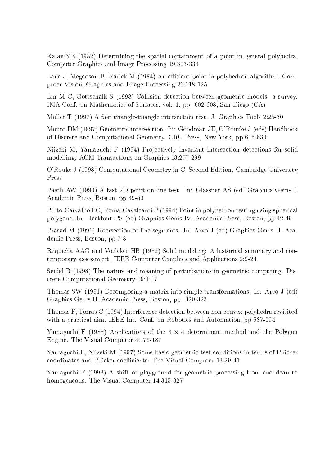Kalay YE (1982) Determining the spatial containment of a point in general polyhedra. Computer Graphics and Image Processing 19:303-334

Lane J, Megedson B, Rarick M (1984) An efficient point in polyhedron algorithm. Computer Vision, Graphics and Image Processing 26:118-125

Lin M C, Gottschalk S (1998) Collision detection between geometric models: a survey. IMA Conf. on Mathematics of Surfaces, vol. 1, pp. 602-608, San Diego (CA)

Möller T (1997) A fast triangle-triangle intersection test. J. Graphics Tools 2:25-30

Mount DM (1997) Geometric intersection. In: Goodman JE, O'Rourke J (eds) Handbook of Discrete and Computational Geometry. CRC Press, New York, pp 615-630

Niizeki M, Yamaguchi F (1994) Projectively invariant intersection detections for solid modelling. ACM Transactions on Graphics 13:277-299

O'Rouke J (1998) Computational Geometry in C, Second Edition. Cambridge University Press

Paeth AW (1990) A fast 2D point-on-line test. In: Glassner AS (ed) Graphics Gems I. Academic Press, Boston, pp 49-50

Pinto-Carvalho PC, Roma-Cavalcanti P (1994) Point in polyhedron testing using spherical polygons. In: Heckbert PS (ed) Graphics Gems IV. Academic Press, Boston, pp 42-49

Prasad M (1991) Intersection of line segments. In: Arvo J (ed) Graphics Gems II. Academic Press, Boston, pp 7-8

Requicha AAG and Voelcker HB (1982) Solid modeling: A historical summary and contemporary assessment. IEEE Computer Graphics and Applications 2:9-24

Seidel R (1998) The nature and meaning of perturbations in geometric computing. Discrete Computational Geometry 19:1-17

Thomas SW (1991) Decomposing a matrix into simple transformations. In: Arvo J (ed) Graphics Gems II. Academic Press, Boston, pp. 320-323

Thomas F, Torras C (1994) Interference detection between non-convex polyhedra revisited with a practical aim. IEEE Int. Conf. on Robotics and Automation, pp 587-594

Yamaguchi F (1988) Applications of the 4 - 4 determinant method and the Polygon Engine. The Visual Computer 4:176-187

Yamaguchi F, Niizeki M (1997) Some basic geometric test conditions in terms of Plucker coordinates and Plücker coefficients. The Visual Computer 13:29-41

Yamaguchi F (1998) A shift of playground for geometric processing from euclidean to homogeneous. The Visual Computer 14:315-327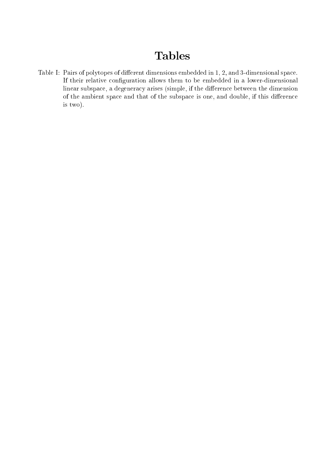# Tables

Table I: Pairs of polytopes of different dimensions embedded in 1, 2, and 3-dimensional space. If their relative conguration allows them to be embedded in a lower-dimensional linear subspace, a degeneracy arises (simple, if the difference between the dimension of the ambient space and that of the subspace is one, and double, if this difference is two).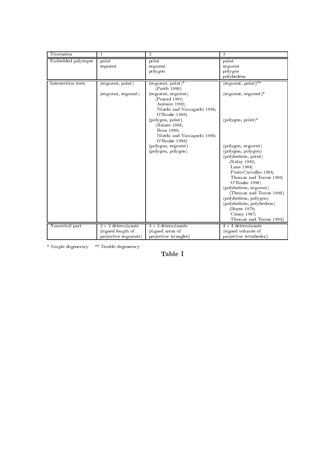| Dimension          |                                                                        | $\overline{2}$                                                                                                                                                                                                                                                                           | 3                                                                                                                                                                                                                                                                                                                                                                                                                                                            |
|--------------------|------------------------------------------------------------------------|------------------------------------------------------------------------------------------------------------------------------------------------------------------------------------------------------------------------------------------------------------------------------------------|--------------------------------------------------------------------------------------------------------------------------------------------------------------------------------------------------------------------------------------------------------------------------------------------------------------------------------------------------------------------------------------------------------------------------------------------------------------|
| Embedded polytopes | point<br>segment                                                       | point<br>segment<br>polygon                                                                                                                                                                                                                                                              | point<br>segment<br>polygon<br>polyhedron                                                                                                                                                                                                                                                                                                                                                                                                                    |
| Intersection tests | (segment, point)<br>(segment, segment)                                 | (segment, point)*<br>(Paeth 1990)<br>(segment, segment)<br>(Prasad 1991;<br>Antonio 1992;<br>Niizeki and Yamaguchi 1994;<br>O'Rouke 1998)<br>(polygon, point)<br>(Haines 1994;<br>Horn 1989;<br>Niizeki and Yamaguchi 1994;<br>O'Rouke 1998)<br>(polygon, segment)<br>(polygon, polygon) | $(\text{segment}, \text{point})^{**}$<br>$(\text{segment}, \text{segment})^*$<br>$(\text{polygon}, \text{point})^*$<br>(polygon, segment)<br>(polygon, polygon)<br>(polyhedron, point)<br>(Kalay 1982;<br>Lane 1984;<br>Pinto-Carvalho 1994;<br>Thomas and Torras 1994;<br>O'Rouke 1998)<br>(polyhedron, segment)<br>(Thomas and Torras 1994)<br>(polyhedron, polygon)<br>(polyhedron, polyhedron)<br>(Boyse 1979;<br>Canny 1987;<br>Thomas and Torras 1994) |
| Numerical part     | $2 \times 2$ determinants<br>(signed length of<br>projective segments) | $3 \times 3$ determinants<br>(signed areas of<br>projective triangles)                                                                                                                                                                                                                   | $4 \times 4$ determinants<br>(signed volumes of<br>projective tetrahedra)                                                                                                                                                                                                                                                                                                                                                                                    |

\* Simple degeneracy \*\* Double degeneracy

Table I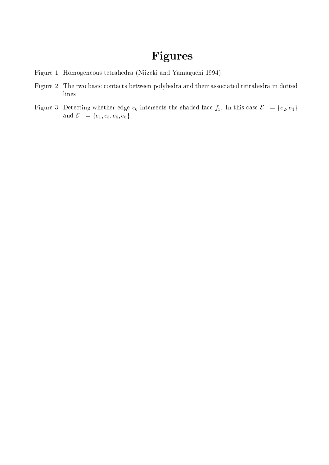# Figures

- Figure 1: Homogeneous tetrahedra (Niizeki and Yamaguchi 1994)
- Figure 2: The two basic contacts between polyhedra and their associated tetrahedra in dotted lines
- Figure 3: Detecting whether edge  $e_0$  intersects the shaded face  $f_1$ . In this case  $\mathcal{E}^+ = \{e_2, e_4\}$ and  $\varepsilon = \{e_1, e_3, e_5, e_6\}.$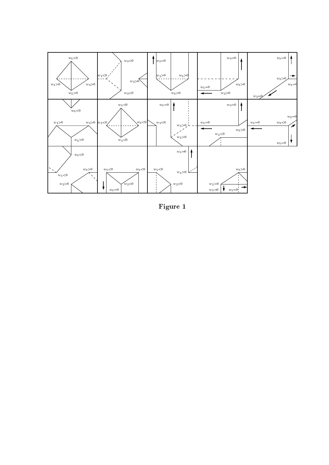

Figure 1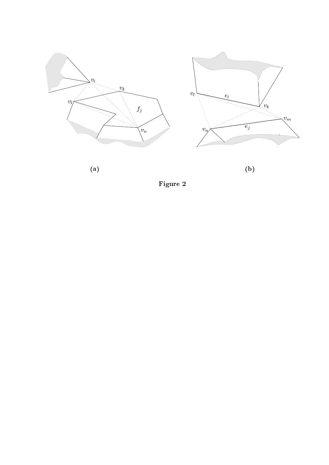





(a) (b)

Figure 2